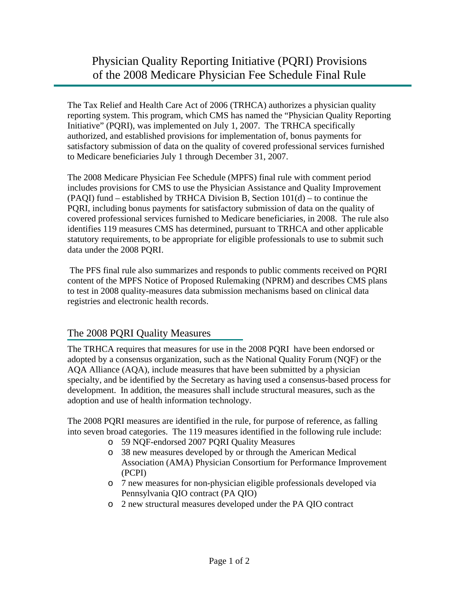The Tax Relief and Health Care Act of 2006 (TRHCA) authorizes a physician quality reporting system. This program, which CMS has named the "Physician Quality Reporting Initiative" (PQRI), was implemented on July 1, 2007. The TRHCA specifically authorized, and established provisions for implementation of, bonus payments for satisfactory submission of data on the quality of covered professional services furnished to Medicare beneficiaries July 1 through December 31, 2007.

The 2008 Medicare Physician Fee Schedule (MPFS) final rule with comment period includes provisions for CMS to use the Physician Assistance and Quality Improvement (PAQI) fund – established by TRHCA Division B, Section 101(d) – to continue the PQRI, including bonus payments for satisfactory submission of data on the quality of covered professional services furnished to Medicare beneficiaries, in 2008. The rule also identifies 119 measures CMS has determined, pursuant to TRHCA and other applicable statutory requirements, to be appropriate for eligible professionals to use to submit such data under the 2008 PQRI.

 The PFS final rule also summarizes and responds to public comments received on PQRI content of the MPFS Notice of Proposed Rulemaking (NPRM) and describes CMS plans to test in 2008 quality-measures data submission mechanisms based on clinical data registries and electronic health records.

## The 2008 PQRI Quality Measures

The TRHCA requires that measures for use in the 2008 PQRI have been endorsed or adopted by a consensus organization, such as the National Quality Forum (NQF) or the AQA Alliance (AQA), include measures that have been submitted by a physician specialty, and be identified by the Secretary as having used a consensus-based process for development. In addition, the measures shall include structural measures, such as the adoption and use of health information technology.

The 2008 PQRI measures are identified in the rule, for purpose of reference, as falling into seven broad categories. The 119 measures identified in the following rule include:

- o 59 NQF-endorsed 2007 PQRI Quality Measures
- o 38 new measures developed by or through the American Medical Association (AMA) Physician Consortium for Performance Improvement (PCPI)
- o 7 new measures for non-physician eligible professionals developed via Pennsylvania QIO contract (PA QIO)
- o 2 new structural measures developed under the PA QIO contract